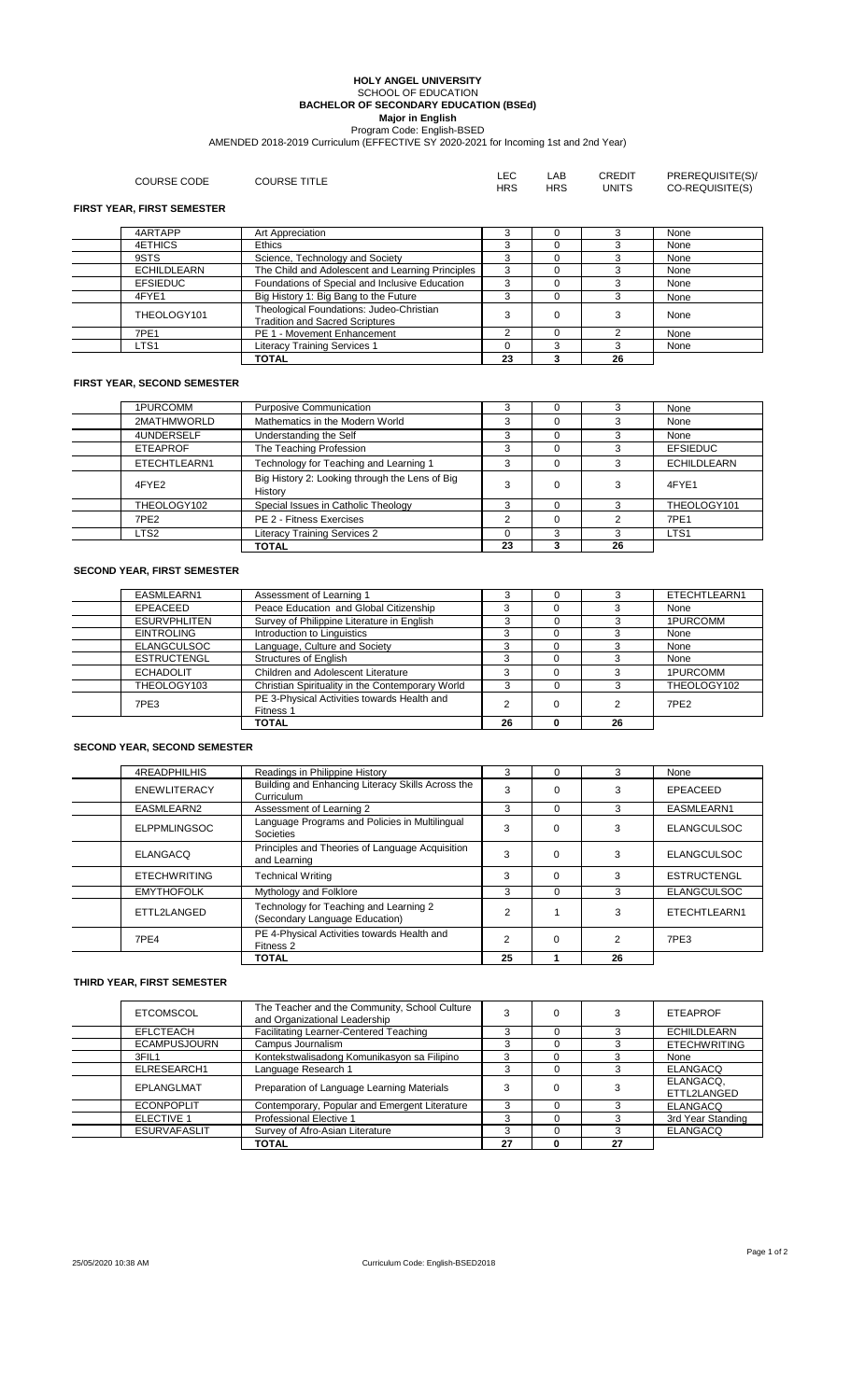#### **HOLY ANGEL UNIVERSITY** SCHOOL OF EDUCATION **BACHELOR OF SECONDARY EDUCATION (BSEd) Major in English**

AMENDED 2018-2019 Curriculum (EFFECTIVE SY 2020-2021 for Incoming 1st and 2nd Year) Program Code: English-BSED

| COURSE CODE                       | <b>COURSE TITLE</b>                                                             | LEC<br><b>HRS</b> | LAB<br><b>HRS</b> | <b>CREDIT</b><br><b>UNITS</b> | PREREQUISITE(S)/<br>CO-REQUISITE(S) |  |  |
|-----------------------------------|---------------------------------------------------------------------------------|-------------------|-------------------|-------------------------------|-------------------------------------|--|--|
| <b>FIRST YEAR, FIRST SEMESTER</b> |                                                                                 |                   |                   |                               |                                     |  |  |
| 4ARTAPP                           | Art Appreciation                                                                |                   |                   |                               | None                                |  |  |
| 4ETHICS                           | <b>Ethics</b>                                                                   |                   |                   |                               | None                                |  |  |
| 9STS                              | Science, Technology and Society                                                 |                   |                   |                               | None                                |  |  |
| <b>ECHILDLEARN</b>                | The Child and Adolescent and Learning Principles                                |                   |                   |                               | None                                |  |  |
| <b>EFSIEDUC</b>                   | Foundations of Special and Inclusive Education                                  |                   |                   |                               | None                                |  |  |
| 4FYE1                             | Big History 1: Big Bang to the Future                                           |                   |                   |                               | None                                |  |  |
| THEOLOGY101                       | Theological Foundations: Judeo-Christian<br>The distance and Cannot Containings |                   |                   |                               | None                                |  |  |

7PE1 PE 1 - Movement Enhancement 2 0 2 None LTS1 Literacy Training Services 1 0 3 3 None

**TOTAL 23 3 26**

Tradition and Sacred Scriptures <sup>3</sup> <sup>0</sup> <sup>3</sup> None

## **FIRST YEAR, SECOND SEMESTER**

| 1PURCOMM         | <b>Purposive Communication</b>                            |    |          |    | None               |
|------------------|-----------------------------------------------------------|----|----------|----|--------------------|
| 2MATHMWORLD      | Mathematics in the Modern World                           |    | $\Omega$ |    | None               |
| 4UNDERSELF       | Understanding the Self                                    |    | $\Omega$ |    | None               |
| <b>ETEAPROF</b>  | The Teaching Profession                                   |    | $\Omega$ |    | <b>EFSIEDUC</b>    |
| ETECHTLEARN1     | Technology for Teaching and Learning 1                    |    | $\Omega$ |    | <b>ECHILDLEARN</b> |
| 4FYE2            | Big History 2: Looking through the Lens of Big<br>History |    | $\Omega$ |    | 4FYE1              |
| THEOLOGY102      | Special Issues in Catholic Theology                       |    | $\Omega$ |    | THEOLOGY101        |
| 7PE <sub>2</sub> | PE 2 - Fitness Exercises                                  |    | $\Omega$ |    | <b>7PE1</b>        |
| LTS <sub>2</sub> | <b>Literacy Training Services 2</b>                       |    |          |    | LTS <sub>1</sub>   |
|                  | <b>TOTAL</b>                                              | 23 |          | 26 |                    |

## **SECOND YEAR, FIRST SEMESTER**

| EASMLEARN1          | Assessment of Learning 1                                 |    |    | ETECHTLEARN1     |
|---------------------|----------------------------------------------------------|----|----|------------------|
| EPEACEED            | Peace Education and Global Citizenship                   | ົ  |    | None             |
| <b>ESURVPHLITEN</b> | Survey of Philippine Literature in English               |    |    | 1PURCOMM         |
| <b>EINTROLING</b>   | Introduction to Linguistics                              |    |    | None             |
| <b>ELANGCULSOC</b>  | Language, Culture and Society                            |    |    | None             |
| <b>ESTRUCTENGL</b>  | <b>Structures of English</b>                             |    |    | None             |
| <b>ECHADOLIT</b>    | Children and Adolescent Literature                       | 3  |    | 1PURCOMM         |
| THEOLOGY103         | Christian Spirituality in the Contemporary World         |    |    | THEOLOGY102      |
| 7PE3                | PE 3-Physical Activities towards Health and<br>Fitness 1 |    |    | 7PF <sub>2</sub> |
|                     | <b>TOTAL</b>                                             | 26 | 26 |                  |

### **SECOND YEAR, SECOND SEMESTER**

|                     | <b>TOTAL</b>                                                             | 25            |          | 26 |                    |
|---------------------|--------------------------------------------------------------------------|---------------|----------|----|--------------------|
| 7PE4                | PE 4-Physical Activities towards Health and<br>Fitness 2                 | ↷             | $\Omega$ |    | 7PE3               |
| ETTL2LANGED         | Technology for Teaching and Learning 2<br>(Secondary Language Education) | $\mathcal{P}$ |          |    | ETECHTLEARN1       |
| <b>EMYTHOFOLK</b>   | Mythology and Folklore                                                   | 3             | $\Omega$ | 3  | <b>ELANGCULSOC</b> |
| <b>ETECHWRITING</b> | <b>Technical Writing</b>                                                 | 3             | $\Omega$ |    | <b>ESTRUCTENGL</b> |
| ELANGACO            | Principles and Theories of Language Acquisition<br>and Learning          | 3             | $\Omega$ |    | <b>ELANGCULSOC</b> |
| <b>ELPPMLINGSOC</b> | Language Programs and Policies in Multilingual<br>Societies              | 3             |          |    | <b>ELANGCULSOC</b> |
| EASMLEARN2          | Assessment of Learning 2                                                 | 3             | $\Omega$ |    | EASMLEARN1         |
| <b>ENEWLITERACY</b> | Building and Enhancing Literacy Skills Across the<br>Curriculum          | 3             | $\Omega$ |    | EPEACEED           |
| <b>4READPHILHIS</b> | Readings in Philippine History                                           | 3             | $\Omega$ |    | None               |

# **THIRD YEAR, FIRST SEMESTER**

| <b>ETCOMSCOL</b>    | The Teacher and the Community, School Culture<br>and Organizational Leadership |    |    | <b>ETEAPROF</b>          |
|---------------------|--------------------------------------------------------------------------------|----|----|--------------------------|
| EFLCTEACH           | Facilitating Learner-Centered Teaching                                         |    |    | <b>ECHILDLEARN</b>       |
| <b>ECAMPUSJOURN</b> | Campus Journalism                                                              |    |    | <b>ETECHWRITING</b>      |
| 3FIL1               | Kontekstwalisadong Komunikasyon sa Filipino                                    |    |    | None                     |
| ELRESEARCH1         | Language Research 1                                                            |    |    | <b>ELANGACQ</b>          |
| EPLANGLMAT          | Preparation of Language Learning Materials                                     |    |    | ELANGACQ,<br>ETTL2LANGED |
| <b>ECONPOPLIT</b>   | Contemporary, Popular and Emergent Literature                                  |    |    | <b>ELANGACQ</b>          |
| ELECTIVE 1          | <b>Professional Elective 1</b>                                                 |    |    | 3rd Year Standing        |
| <b>ESURVAFASLIT</b> | Survey of Afro-Asian Literature                                                | ົ  |    | <b>ELANGACQ</b>          |
|                     | <b>TOTAL</b>                                                                   | 27 | 27 |                          |